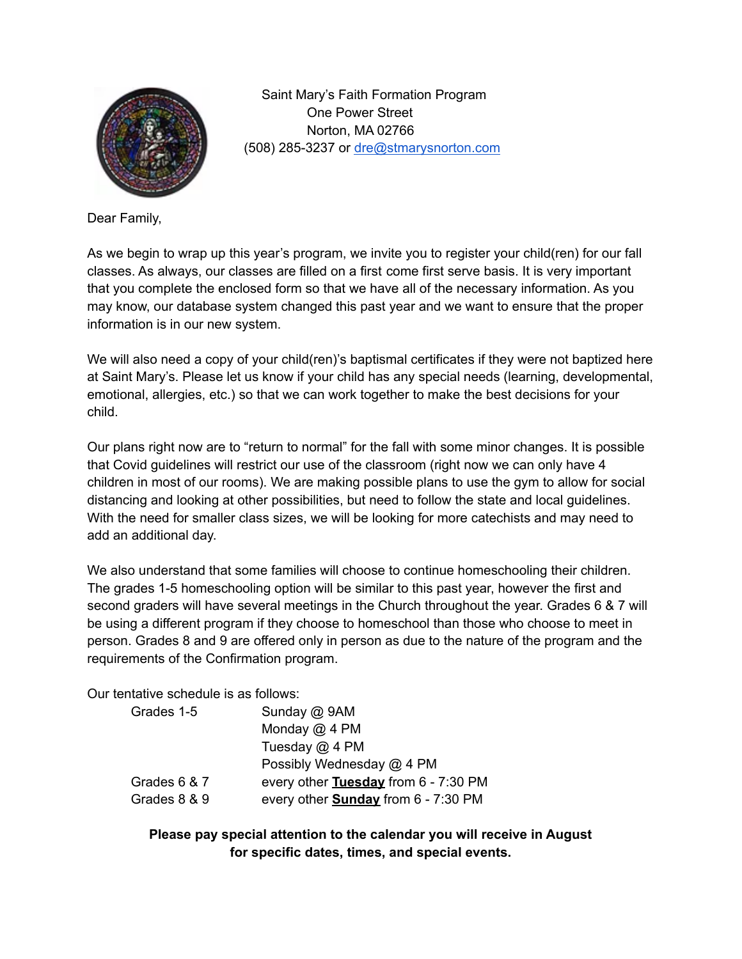

Saint Mary's Faith Formation Program One Power Street Norton, MA 02766 (508) 285-3237 or [dre@stmarysnorton.com](mailto:dre@stmarysnorton.com)

Dear Family,

As we begin to wrap up this year's program, we invite you to register your child(ren) for our fall classes. As always, our classes are filled on a first come first serve basis. It is very important that you complete the enclosed form so that we have all of the necessary information. As you may know, our database system changed this past year and we want to ensure that the proper information is in our new system.

We will also need a copy of your child(ren)'s baptismal certificates if they were not baptized here at Saint Mary's. Please let us know if your child has any special needs (learning, developmental, emotional, allergies, etc.) so that we can work together to make the best decisions for your child.

Our plans right now are to "return to normal" for the fall with some minor changes. It is possible that Covid guidelines will restrict our use of the classroom (right now we can only have 4 children in most of our rooms). We are making possible plans to use the gym to allow for social distancing and looking at other possibilities, but need to follow the state and local guidelines. With the need for smaller class sizes, we will be looking for more catechists and may need to add an additional day.

We also understand that some families will choose to continue homeschooling their children. The grades 1-5 homeschooling option will be similar to this past year, however the first and second graders will have several meetings in the Church throughout the year. Grades 6 & 7 will be using a different program if they choose to homeschool than those who choose to meet in person. Grades 8 and 9 are offered only in person as due to the nature of the program and the requirements of the Confirmation program.

Our tentative schedule is as follows:

| Grades 1-5   | Sunday @ 9AM                               |
|--------------|--------------------------------------------|
|              | Monday @ 4 PM                              |
|              | Tuesday $@$ 4 PM                           |
|              | Possibly Wednesday @ 4 PM                  |
| Grades 6 & 7 | every other Tuesday from 6 - 7:30 PM       |
| Grades 8 & 9 | every other <b>Sunday</b> from 6 - 7:30 PM |

**Please pay special attention to the calendar you will receive in August for specific dates, times, and special events.**